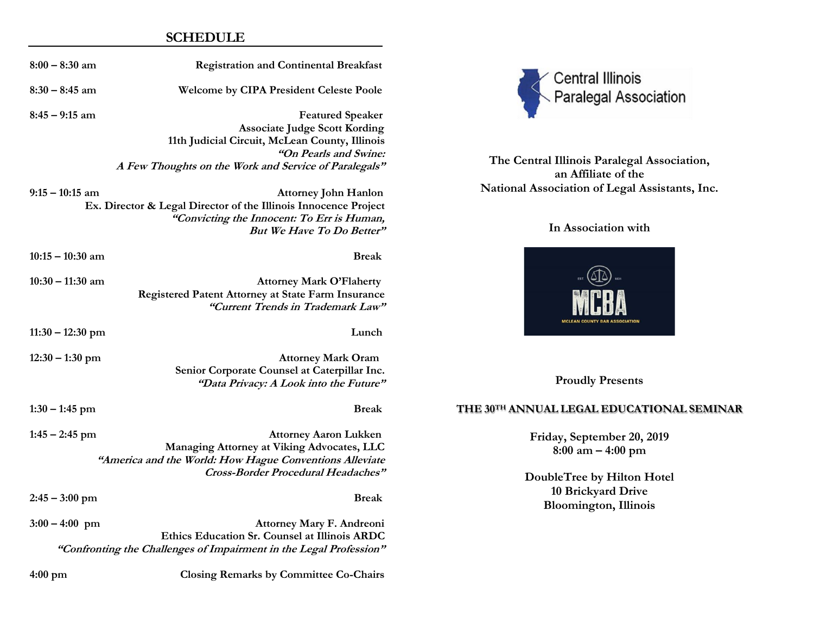## **SCHEDULE**

| $8:00 - 8:30$ am   | <b>Registration and Continental Breakfast</b>                                                                                                                                                       |
|--------------------|-----------------------------------------------------------------------------------------------------------------------------------------------------------------------------------------------------|
| $8:30 - 8:45$ am   | <b>Welcome by CIPA President Celeste Poole</b>                                                                                                                                                      |
| $8:45 - 9:15$ am   | <b>Featured Speaker</b><br><b>Associate Judge Scott Kording</b><br>11th Judicial Circuit, McLean County, Illinois<br>"On Pearls and Swine:<br>A Few Thoughts on the Work and Service of Paralegals" |
| $9:15 - 10:15$ am  | <b>Attorney John Hanlon</b><br>Ex. Director & Legal Director of the Illinois Innocence Project<br>"Convicting the Innocent: To Err is Human,<br><b>But We Have To Do Better"</b>                    |
| $10:15 - 10:30$ am | <b>Break</b>                                                                                                                                                                                        |
| $10:30 - 11:30$ am | <b>Attorney Mark O'Flaherty</b><br>Registered Patent Attorney at State Farm Insurance<br>"Current Trends in Trademark Law"                                                                          |
| $11:30 - 12:30$ pm | Lunch                                                                                                                                                                                               |
| $12:30 - 1:30$ pm  | <b>Attorney Mark Oram</b><br>Senior Corporate Counsel at Caterpillar Inc.<br>"Data Privacy: A Look into the Future"                                                                                 |
| $1:30 - 1:45$ pm   | <b>Break</b>                                                                                                                                                                                        |
| $1:45 - 2:45$ pm   | <b>Attorney Aaron Lukken</b><br>Managing Attorney at Viking Advocates, LLC<br>"America and the World: How Hague Conventions Alleviate<br><b>Cross-Border Procedural Headaches"</b>                  |
| $2:45 - 3:00$ pm   | <b>Break</b>                                                                                                                                                                                        |
| $3:00 - 4:00$ pm   | Attorney Mary F. Andreoni<br>Ethics Education Sr. Counsel at Illinois ARDC<br>"Confronting the Challenges of Impairment in the Legal Profession"                                                    |
| 4:00 pm            | <b>Closing Remarks by Committee Co-Chairs</b>                                                                                                                                                       |



**The Central Illinois Paralegal Association, an Affiliate of the National Association of Legal Assistants, Inc.**

# **In Association with**



**Proudly Presents**

### **THE 30TH ANNUAL LEGAL EDUCATIONAL SEMINAR**

**Friday, September 20, 2019 8:00 am – 4:00 pm**

**DoubleTree by Hilton Hotel 10 Brickyard Drive Bloomington, Illinois**